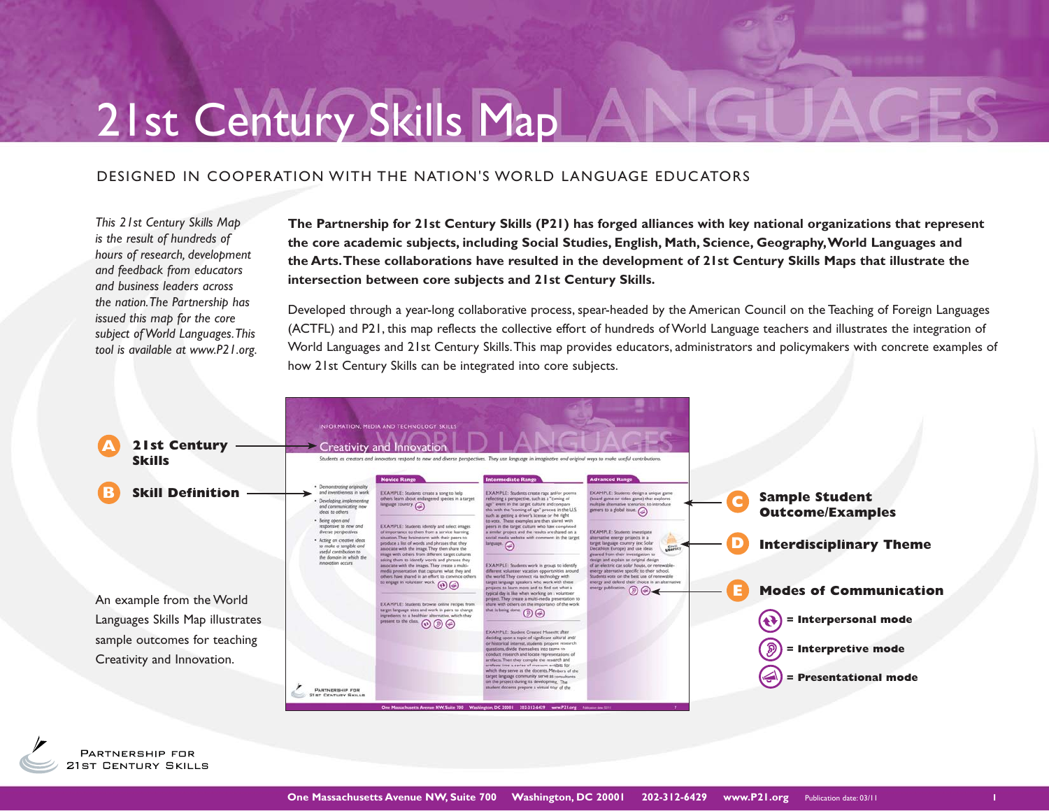# 21st Century Skills Map

## DESIGNED IN COOPERATION WITH THE NATION'S WORLD LANGUAGE EDUCATORS

*This 21st Century Skills Map is the result of hundreds of hours of research, development and feedback from educators and business leaders across the nation. The Partnership has issued this map for the core subject of World Languages. This tool is available at www.P21.org.*  **The Partnership for 21st Century Skills (P21) has forged alliances with key national organizations that represent the core academic subjects, including Social Studies, English, Math, Science, Geography, World Languages and the Arts. These collaborations have resulted in the development of 21st Century Skills Maps that illustrate the intersection between core subjects and 21st Century Skills.** 

Developed through a year-long collaborative process, spear-headed by the American Council on the Teaching of Foreign Languages (ACTFL) and P21, this map reflects the collective effort of hundreds of World Language teachers and illustrates the integration of World Languages and 21st Century Skills. This map provides educators, administrators and policymakers with concrete examples of how 21st Century Skills can be integrated into core subjects.

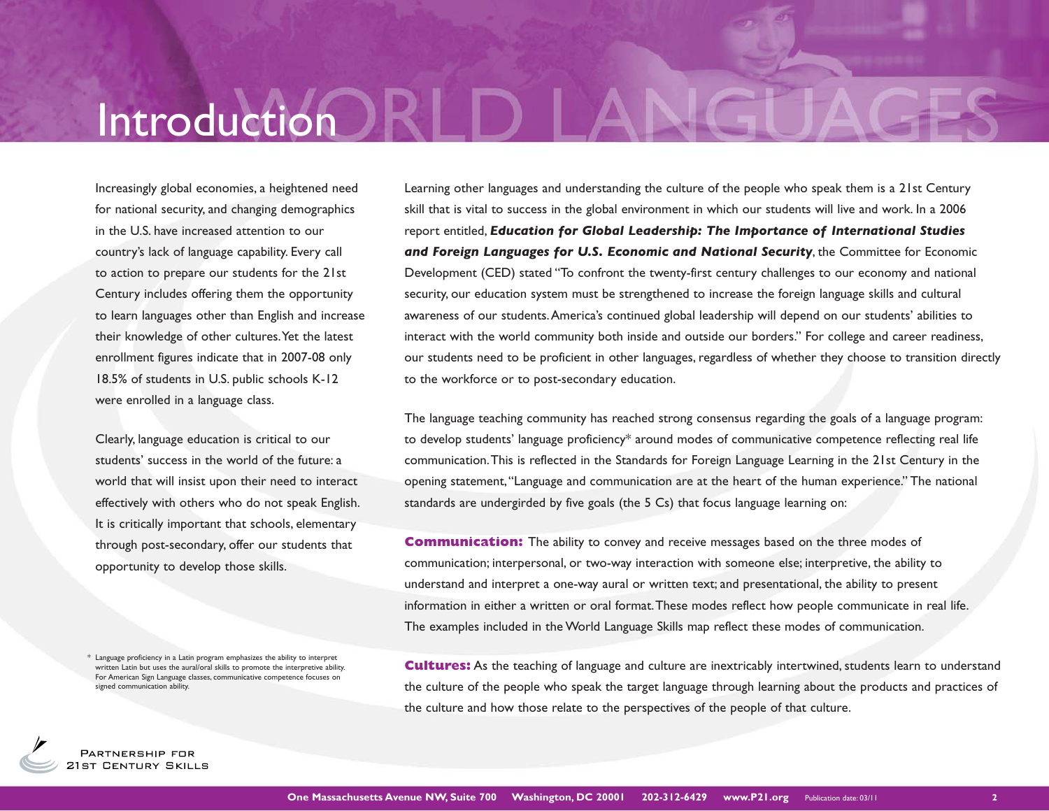# Introduction

Increasingly global economies, a heightened need for national security, and changing demographics in the U.S. have increased attention to our country's lack of language capability. Every call to action to prepare our students for the 21st Century includes offering them the opportunity to learn languages other than English and increase their knowledge of other cultures. Yet the latest enrollment figures indicate that in 2007-08 only 18.5% of students in U.S. public schools K-12 were enrolled in a language class.

Clearly, language education is critical to our students' success in the world of the future: a world that will insist upon their need to interact effectively with others who do not speak English. It is critically important that schools, elementary through post-secondary, offer our students that opportunity to develop those skills.

\* Language proficiency in a Latin program emphasizes the ability to interpret written Latin but uses the aural/oral skills to promote the interpretive ability. For American Sign Language classes, communicative competence focuses on signed communication ability.

Learning other languages and understanding the culture of the people who speak them is a 21st Century skill that is vital to success in the global environment in which our students will live and work. In a 2006 report entitled, **Education for Global Leadership: The Importance of International Studies** *and Foreign Languages for U.S. Economic and National Security, the Committee for Economic* Development (CED) stated "To confront the twenty-first century challenges to our economy and national security, our education system must be strengthened to increase the foreign language skills and cultural awareness of our students. America's continued global leadership will depend on our students' abilities to interact with the world community both inside and outside our borders." For college and career readiness, our students need to be proficient in other languages, regardless of whether they choose to transition directly to the workforce or to post-secondary education.

The language teaching community has reached strong consensus regarding the goals of a language program: to develop students' language proficiency\* around modes of communicative competence reflecting real life communication. This is reflected in the Standards for Foreign Language Learning in the 21st Century in the opening statement, "Language and communication are at the heart of the human experience." The national standards are undergirded by five goals (the 5 Cs) that focus language learning on:

**Communication:** The ability to convey and receive messages based on the three modes of communication; interpersonal, or two-way interaction with someone else; interpretive, the ability to understand and interpret a one-way aural or written text; and presentational, the ability to present information in either a written or oral format. These modes reflect how people communicate in real life. The examples included in the World Language Skills map reflect these modes of communication.

**Cultures:** As the teaching of language and culture are inextricably intertwined, students learn to understand the culture of the people who speak the target language through learning about the products and practices of the culture and how those relate to the perspectives of the people of that culture.

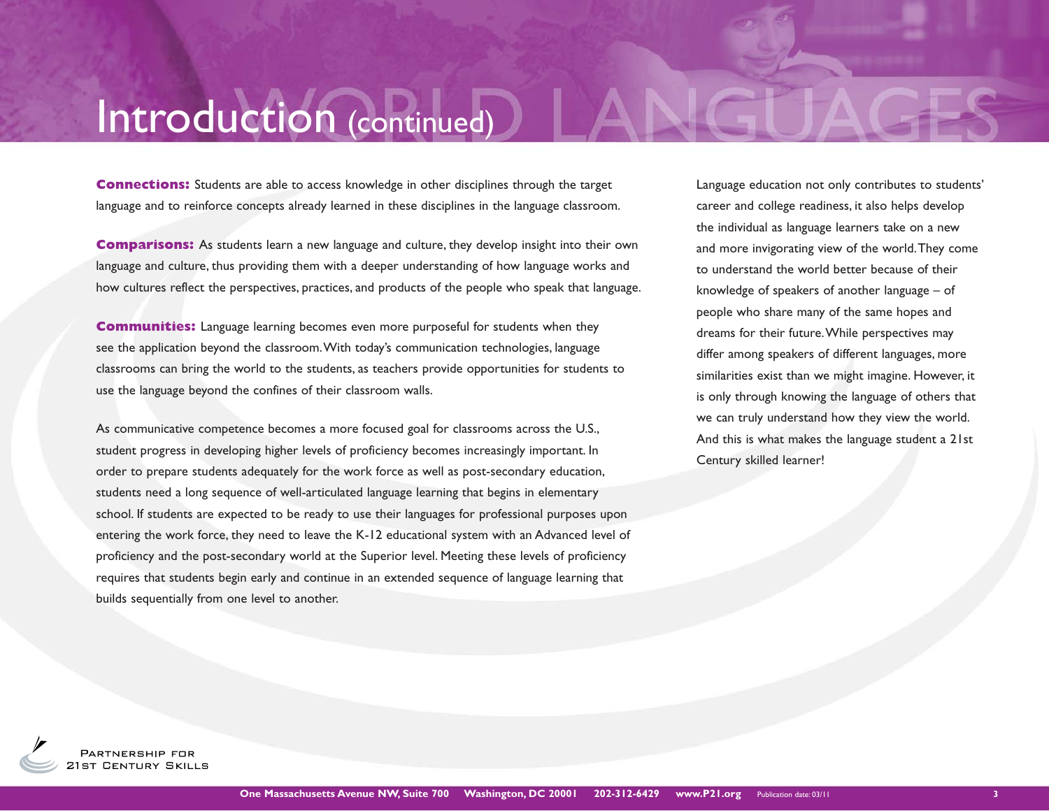# Introduction (continued)

**Connections:** Students are able to access knowledge in other disciplines through the target language and to reinforce concepts already learned in these disciplines in the language classroom.

**Comparisons:** As students learn a new language and culture, they develop insight into their own language and culture, thus providing them with a deeper understanding of how language works and how cultures reflect the perspectives, practices, and products of the people who speak that language.

**Communities:** Language learning becomes even more purposeful for students when they see the application beyond the classroom. With today's communication technologies, language classrooms can bring the world to the students, as teachers provide opportunities for students to use the language beyond the confines of their classroom walls.

As communicative competence becomes a more focused goal for classrooms across the U.S., student progress in developing higher levels of proficiency becomes increasingly important. In order to prepare students adequately for the work force as well as post-secondary education, students need a long sequence of well-articulated language learning that begins in elementary school. If students are expected to be ready to use their languages for professional purposes upon entering the work force, they need to leave the K-12 educational system with an Advanced level of proficiency and the post-secondary world at the Superior level. Meeting these levels of proficiency requires that students begin early and continue in an extended sequence of language learning that builds sequentially from one level to another.

Language education not only contributes to students' career and college readiness, it also helps develop the individual as language learners take on a new and more invigorating view of the world. They come to understand the world better because of their knowledge of speakers of another language – of people who share many of the same hopes and dreams for their future. While perspectives may differ among speakers of different languages, more similarities exist than we might imagine. However, it is only through knowing the language of others that we can truly understand how they view the world. And this is what makes the language student a 21st Century skilled learner!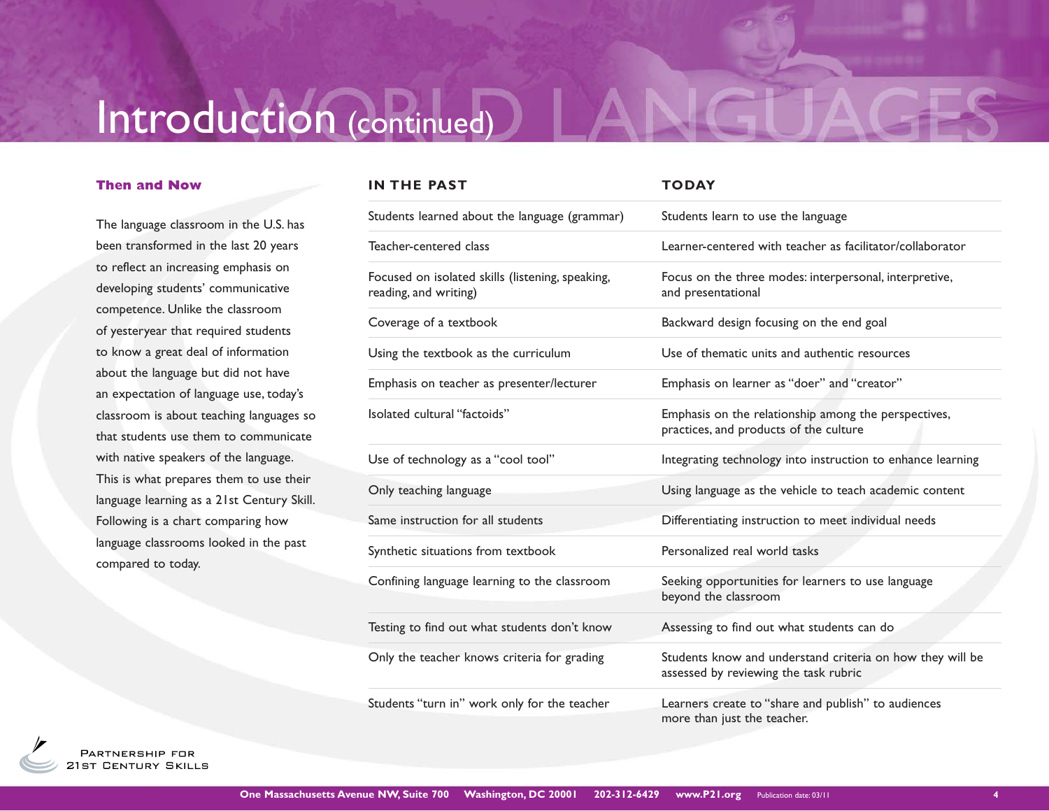# Introduction (continued)

### **Then and Now**

The language classroom in the U.S. has been transformed in the last 20 years to reflect an increasing emphasis on developing students' communicative competence. Unlike the classroom of yesteryear that required students to know a great deal of information about the language but did not have an expectation of language use, today's classroom is about teaching languages so that students use them to communicate with native speakers of the language. This is what prepares them to use their language learning as a 21st Century Skill. Following is a chart comparing how language classrooms looked in the past compared to today.

| IN THE PAST                                                               | <b>TODAY</b>                                                                                       |
|---------------------------------------------------------------------------|----------------------------------------------------------------------------------------------------|
| Students learned about the language (grammar)                             | Students learn to use the language                                                                 |
| Teacher-centered class                                                    | Learner-centered with teacher as facilitator/collaborator                                          |
| Focused on isolated skills (listening, speaking,<br>reading, and writing) | Focus on the three modes: interpersonal, interpretive,<br>and presentational                       |
| Coverage of a textbook                                                    | Backward design focusing on the end goal                                                           |
| Using the textbook as the curriculum                                      | Use of thematic units and authentic resources                                                      |
| Emphasis on teacher as presenter/lecturer                                 | Emphasis on learner as "doer" and "creator"                                                        |
| Isolated cultural "factoids"                                              | Emphasis on the relationship among the perspectives,<br>practices, and products of the culture     |
| Use of technology as a "cool tool"                                        | Integrating technology into instruction to enhance learning                                        |
| Only teaching language                                                    | Using language as the vehicle to teach academic content                                            |
| Same instruction for all students                                         | Differentiating instruction to meet individual needs                                               |
| Synthetic situations from textbook                                        | Personalized real world tasks                                                                      |
| Confining language learning to the classroom                              | Seeking opportunities for learners to use language<br>beyond the classroom                         |
| Testing to find out what students don't know                              | Assessing to find out what students can do                                                         |
| Only the teacher knows criteria for grading                               | Students know and understand criteria on how they will be<br>assessed by reviewing the task rubric |
| Students "turn in" work only for the teacher                              | Learners create to "share and publish" to audiences<br>more than just the teacher.                 |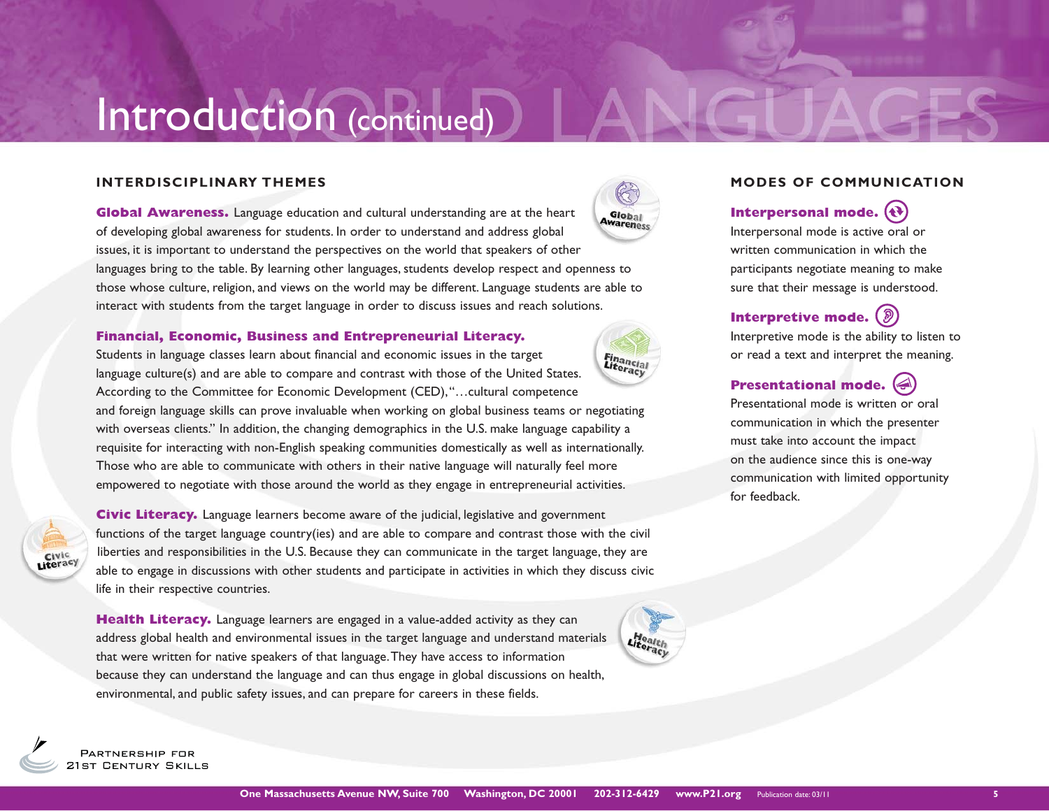# Introduction (continued)

### **INTERDISCIPLINARY THEMES**

**Global Awareness.** Language education and cultural understanding are at the heart of developing global awareness for students. In order to understand and address global issues, it is important to understand the perspectives on the world that speakers of other languages bring to the table. By learning other languages, students develop respect and openness to those whose culture, religion, and views on the world may be different. Language students are able to interact with students from the target language in order to discuss issues and reach solutions.

### **Financial, Economic, Business and Entrepreneurial Literacy.**

Students in language classes learn about financial and economic issues in the target Financial<br>Literacy language culture(s) and are able to compare and contrast with those of the United States. According to the Committee for Economic Development (CED), "…cultural competence and foreign language skills can prove invaluable when working on global business teams or negotiating with overseas clients." In addition, the changing demographics in the U.S. make language capability a requisite for interacting with non-English speaking communities domestically as well as internationally.

Those who are able to communicate with others in their native language will naturally feel more empowered to negotiate with those around the world as they engage in entrepreneurial activities.



**Civic Literacy.** Language learners become aware of the judicial, legislative and government functions of the target language country(ies) and are able to compare and contrast those with the civil liberties and responsibilities in the U.S. Because they can communicate in the target language, they are able to engage in discussions with other students and participate in activities in which they discuss civic life in their respective countries.

**Health Literacy.** Language learners are engaged in a value-added activity as they can address global health and environmental issues in the target language and understand materials that were written for native speakers of that language. They have access to information because they can understand the language and can thus engage in global discussions on health, environmental, and public safety issues, and can prepare for careers in these fields.





### **MODES OF COMMUNICATION**

## **Interpersonal mode.**

Interpersonal mode is active oral or written communication in which the participants negotiate meaning to make sure that their message is understood.

## **Interpretive mode.**

Interpretive mode is the ability to listen to or read a text and interpret the meaning.

## **Presentational mode.**

Presentational mode is written or oral communication in which the presenter must take into account the impact on the audience since this is one-way communication with limited opportunity for feedback.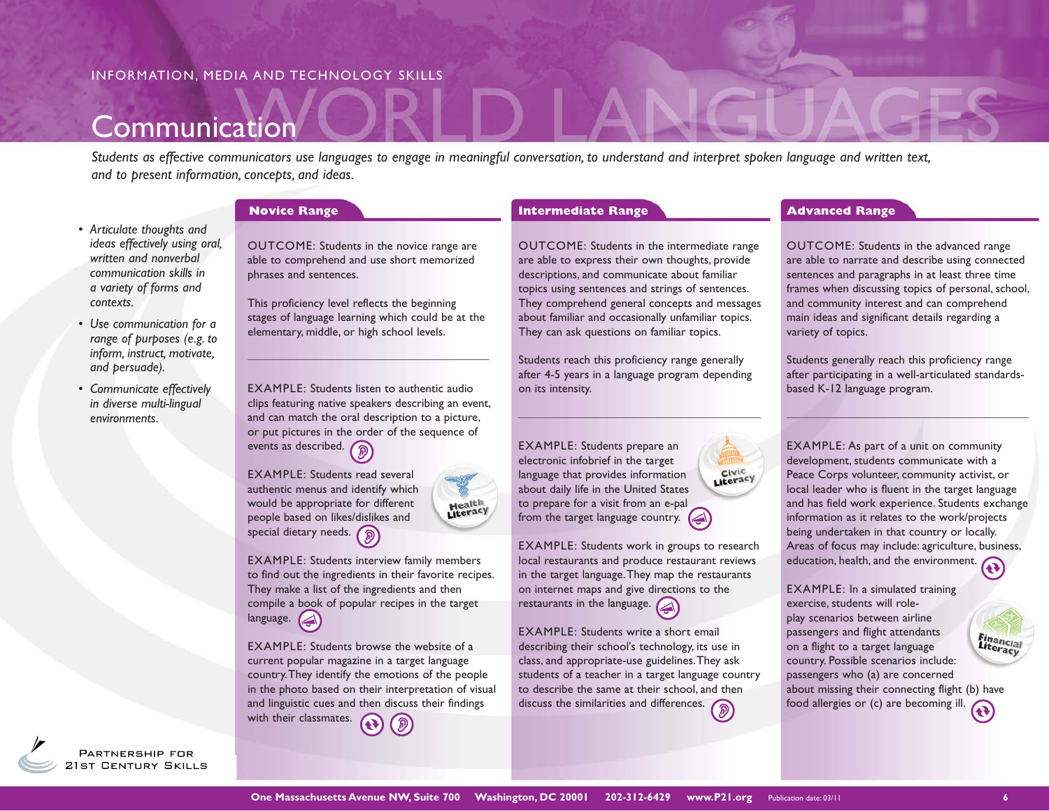## **Communication**

*Students as effective communicators use languages to engage in meaningful conversation, to understand and interpret spoken language and written text, and to present information, concepts, and ideas.*

- *Articulate thoughts and ideas effectively using oral, written and nonverbal communication skills in a variety of forms and contexts.*
- *Use communication for a range of purposes (e.g. to inform, instruct, motivate, and persuade).*
- *Communicate effectively in diverse multi-lingual environments.*

OUTCOME: Students in the novice range are able to comprehend and use short memorized phrases and sentences.

This proficiency level reflects the beginning stages of language learning which could be at the elementary, middle, or high school levels.

EXAMPLE: Students listen to authentic audio clips featuring native speakers describing an event, and can match the oral description to a picture, or put pictures in the order of the sequence of events as described.

EXAMPLE: Students interview family members to find out the ingredients in their favorite recipes. They make a list of the ingredients and then compile a book of popular recipes in the target

EXAMPLE: Students browse the website of a current popular magazine in a target language country. They identify the emotions of the people in the photo based on their interpretation of visual and linguistic cues and then discuss their findings

EXAMPLE: Students read several authentic menus and identify which would be appropriate for different people based on likes/dislikes and special dietary needs. (a)

language.

with their classmates.



OUTCOME: Students in the intermediate range are able to express their own thoughts, provide descriptions, and communicate about familiar topics using sentences and strings of sentences. They comprehend general concepts and messages about familiar and occasionally unfamiliar topics. They can ask questions on familiar topics.

Students reach this proficiency range generally after 4-5 years in a language program depending on its intensity.

EXAMPLE: Students prepare an electronic infobrief in the target language that provides information about daily life in the United States to prepare for a visit from an e-pal from the target language country.  $\blacktriangleleft$ 

EXAMPLE: Students work in groups to research local restaurants and produce restaurant reviews in the target language. They map the restaurants on internet maps and give directions to the restaurants in the language.

Literacy

EXAMPLE: Students write a short email describing their school's technology, its use in class, and appropriate-use guidelines. They ask students of a teacher in a target language country to describe the same at their school, and then discuss the similarities and differences.

### **Novice Range 1 Advanced Range 1 Advanced Range 1 Advanced Range 1 Advanced Range**

OUTCOME: Students in the advanced range are able to narrate and describe using connected sentences and paragraphs in at least three time frames when discussing topics of personal, school, and community interest and can comprehend main ideas and significant details regarding a variety of topics.

Students generally reach this proficiency range after participating in a well-articulated standardsbased K-12 language program.



EXAMPLE: In a simulated training exercise, students will roleplay scenarios between airline passengers and flight attendants on a flight to a target language country. Possible scenarios include: passengers who (a) are concerned about missing their connecting flight (b) have food allergies or (c) are becoming ill.

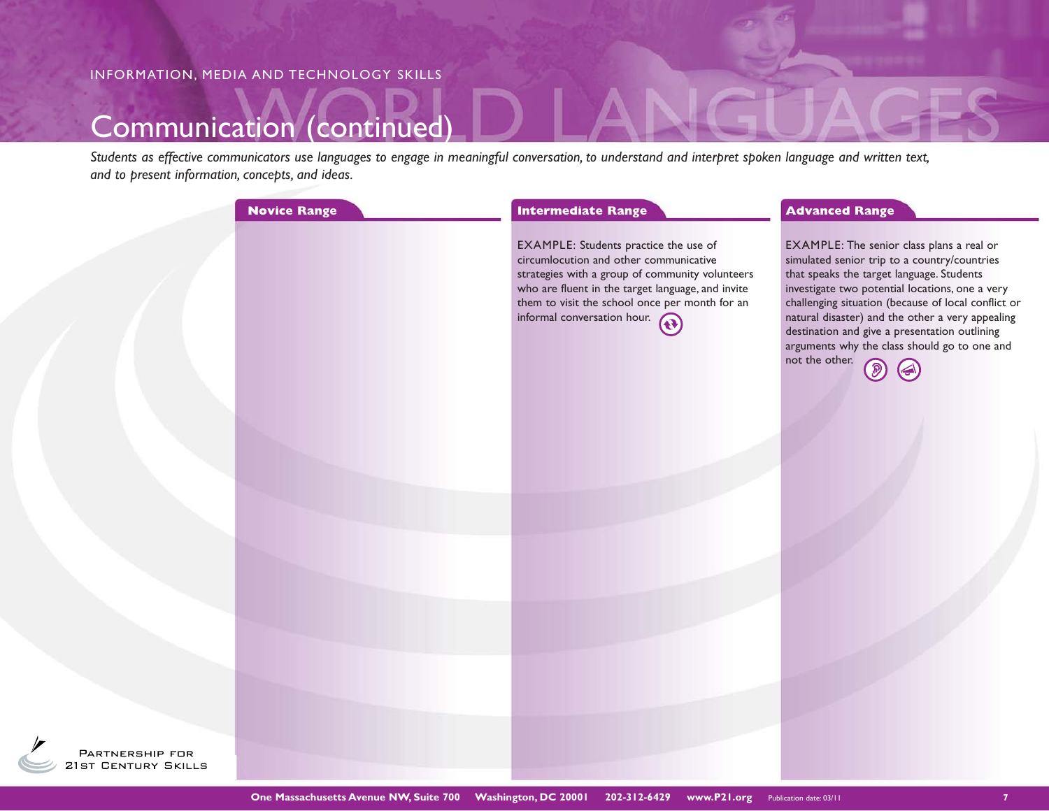## Communication (continued)

*Students as effective communicators use languages to engage in meaningful conversation, to understand and interpret spoken language and written text, and to present information, concepts, and ideas.*

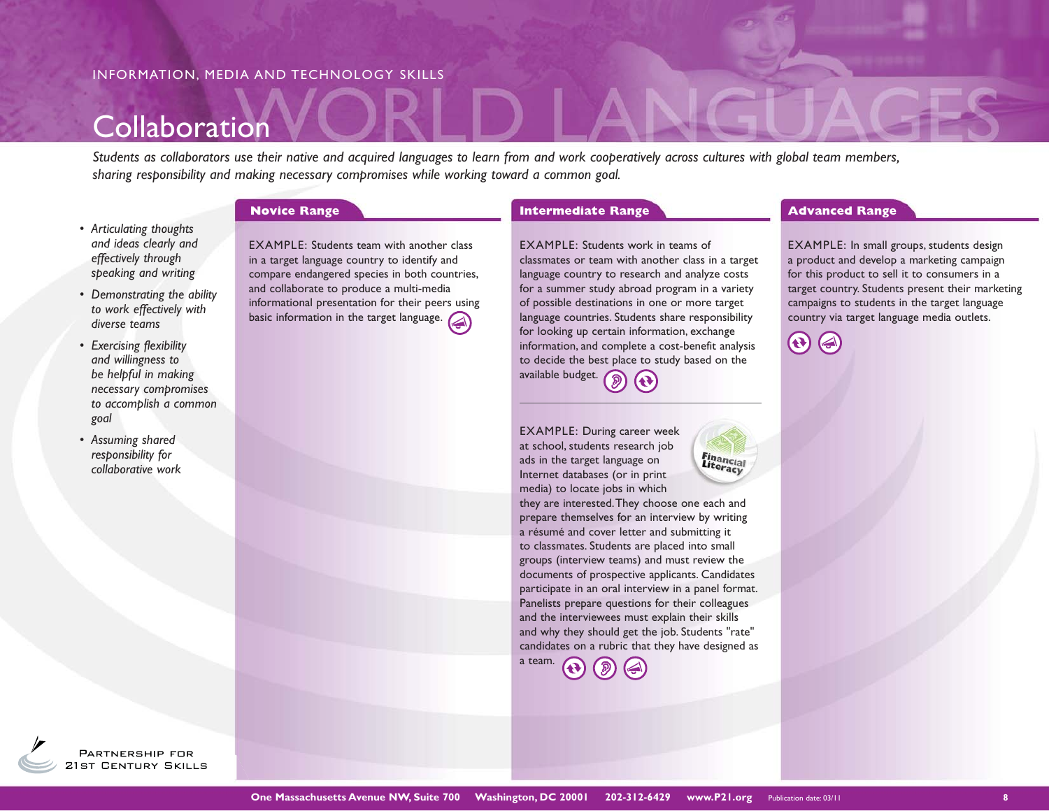## Collaboration

*Students as collaborators use their native and acquired languages to learn from and work cooperatively across cultures with global team members, sharing responsibility and making necessary compromises while working toward a common goal.* 

- *Articulating thoughts and ideas clearly and effectively through speaking and writing*
- *Demonstrating the ability to work effectively with diverse teams*
- *Exercising flexibility and willingness to be helpful in making necessary compromises to accomplish a common goal*
- *Assuming shared responsibility for collaborative work*

EXAMPLE: Students team with another class in a target language country to identify and compare endangered species in both countries, and collaborate to produce a multi-media informational presentation for their peers using basic information in the target language.

#### **Novice Range <b>Advanced Range Advanced Range Advanced Range Advanced Range Advanced Range**

EXAMPLE: Students work in teams of classmates or team with another class in a target language country to research and analyze costs for a summer study abroad program in a variety of possible destinations in one or more target language countries. Students share responsibility for looking up certain information, exchange information, and complete a cost-benefit analysis to decide the best place to study based on the available budget.  $\mathcal{D}$ 

EXAMPLE: During career week at school, students research job ads in the target language on Internet databases (or in print media) to locate jobs in which

they are interested. They choose one each and prepare themselves for an interview by writing a résumé and cover letter and submitting it to classmates. Students are placed into small groups (interview teams) and must review the documents of prospective applicants. Candidates participate in an oral interview in a panel format. Panelists prepare questions for their colleagues and the interviewees must explain their skills and why they should get the job. Students "rate" candidates on a rubric that they have designed as

Financial<br>Literacy



EXAMPLE: In small groups, students design a product and develop a marketing campaign for this product to sell it to consumers in a target country. Students present their marketing campaigns to students in the target language country via target language media outlets.

 $\mathbf{G}$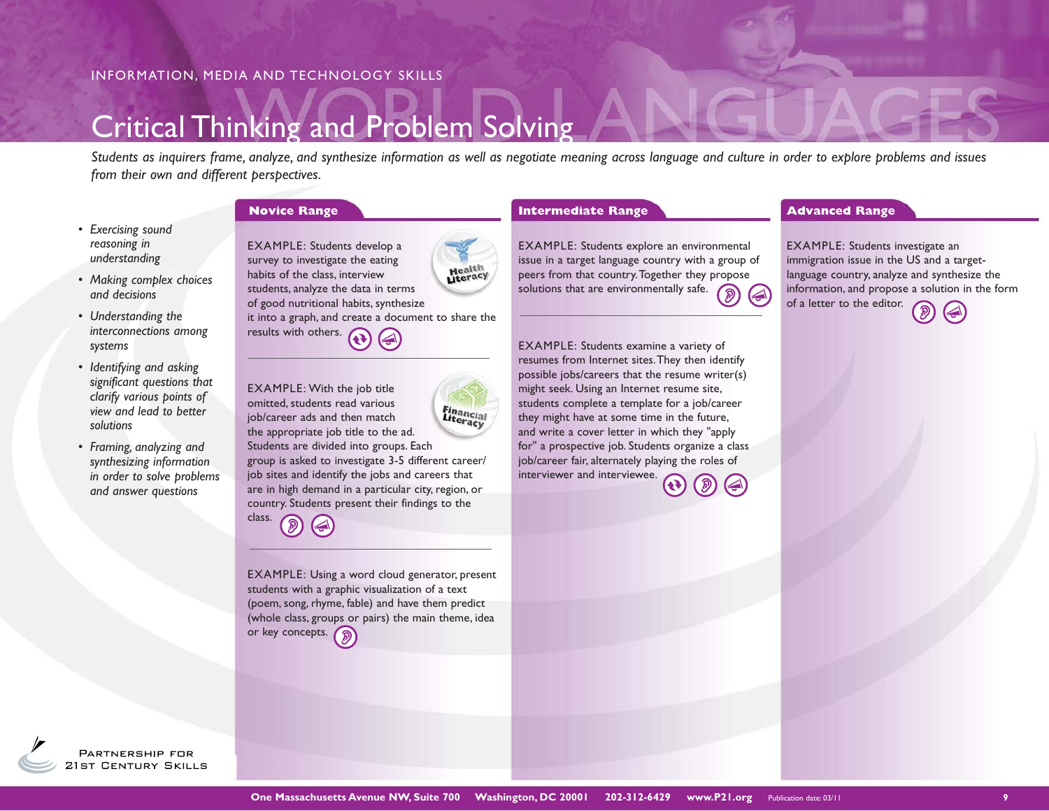## Critical Thinking and Problem Solving

*Students as inquirers frame, analyze, and synthesize information as well as negotiate meaning across language and culture in order to explore problems and issues from their own and different perspectives.*

- *Exercising sound reasoning in understanding*
- *Making complex choices and decisions*
- *Understanding the interconnections among systems*
- *Identifying and asking significant questions that clarify various points of view and lead to better solutions*
- *Framing, analyzing and synthesizing information in order to solve problems and answer questions*

EXAMPLE: Students develop a survey to investigate the eating **Health**<br>Literacy habits of the class, interview students, analyze the data in terms of good nutritional habits, synthesize it into a graph, and create a document to share the results with others.

EXAMPLE: With the job title omitted, students read various **Financial** job/career ads and then match the appropriate job title to the ad. Students are divided into groups. Each group is asked to investigate 3-5 different career/ job sites and identify the jobs and careers that are in high demand in a particular city, region, or country. Students present their findings to the class.

EXAMPLE: Using a word cloud generator, present students with a graphic visualization of a text (poem, song, rhyme, fable) and have them predict (whole class, groups or pairs) the main theme, idea or key concepts.

#### **Novice Range 19 Construction Construction Construction Construction Construction Construction Construction Construction Construction Construction Construction Construction Construction Construction Construction Constructi**

EXAMPLE: Students explore an environmental issue in a target language country with a group of peers from that country. Together they propose solutions that are environmentally safe.

EXAMPLE: Students examine a variety of resumes from Internet sites. They then identify possible jobs/careers that the resume writer(s) might seek. Using an Internet resume site, students complete a template for a job/career they might have at some time in the future, and write a cover letter in which they "apply for" a prospective job. Students organize a class job/career fair, alternately playing the roles of interviewer and interviewee.

EXAMPLE: Students investigate an immigration issue in the US and a targetlanguage country, analyze and synthesize the information, and propose a solution in the form of a letter to the editor.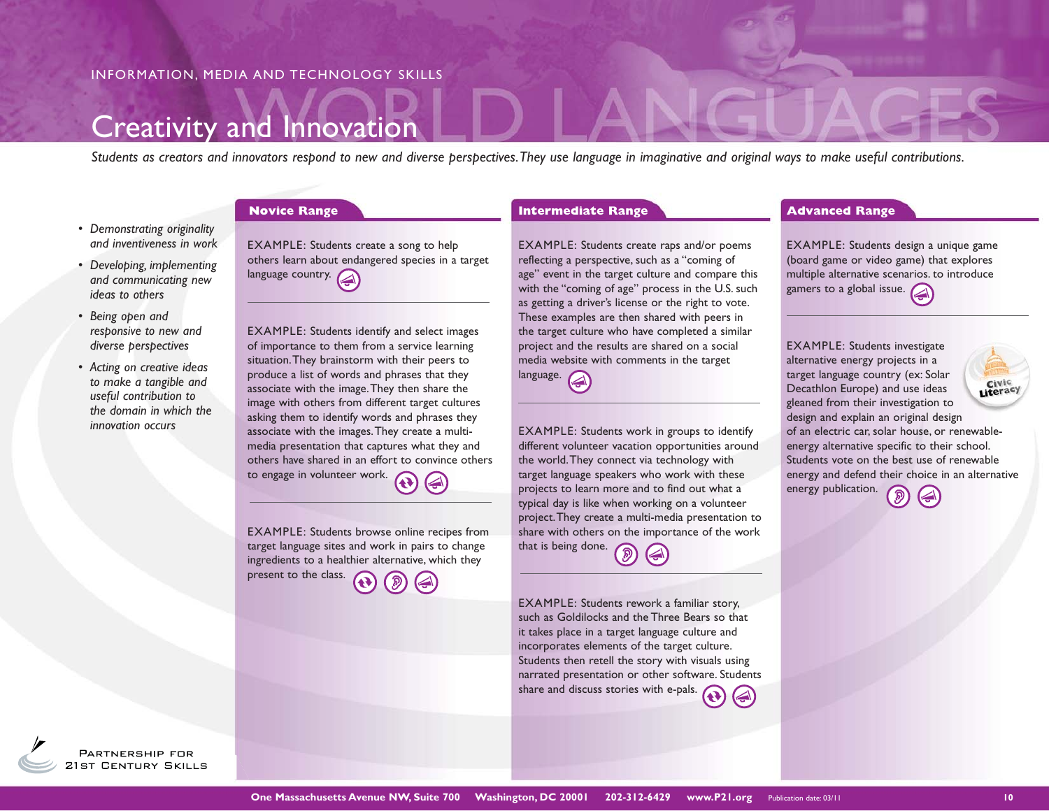## Creativity and Innovation

*Students as creators and innovators respond to new and diverse perspectives. They use language in imaginative and original ways to make useful contributions.*

- *Demonstrating originality and inventiveness in work*
- *Developing, implementing and communicating new ideas to others*
- *Being open and responsive to new and diverse perspectives*
- *Acting on creative ideas to make a tangible and useful contribution to the domain in which the innovation occurs*

EXAMPLE: Students create a song to help others learn about endangered species in a target language country.

EXAMPLE: Students identify and select images of importance to them from a service learning situation. They brainstorm with their peers to produce a list of words and phrases that they associate with the image. They then share the image with others from different target cultures asking them to identify words and phrases they associate with the images. They create a multimedia presentation that captures what they and others have shared in an effort to convince others to engage in volunteer work.

EXAMPLE: Students browse online recipes from target language sites and work in pairs to change ingredients to a healthier alternative, which they present to the class.

EXAMPLE: Students create raps and/or poems reflecting a perspective, such as a "coming of age" event in the target culture and compare this with the "coming of age" process in the U.S. such as getting a driver's license or the right to vote. These examples are then shared with peers in the target culture who have completed a similar project and the results are shared on a social media website with comments in the target language.

EXAMPLE: Students work in groups to identify different volunteer vacation opportunities around the world. They connect via technology with target language speakers who work with these projects to learn more and to find out what a typical day is like when working on a volunteer project. They create a multi-media presentation to share with others on the importance of the work that is being done.  $\binom{2}{3}$ 

EXAMPLE: Students rework a familiar story, such as Goldilocks and the Three Bears so that it takes place in a target language culture and incorporates elements of the target culture. Students then retell the story with visuals using narrated presentation or other software. Students share and discuss stories with e-pals.

#### **Novice Range <b>Advanced Range Advanced Range Advanced Range Advanced Range Advanced Range**

EXAMPLE: Students design a unique game (board game or video game) that explores multiple alternative scenarios. to introduce gamers to a global issue.

EXAMPLE: Students investigate alternative energy projects in a target language country (ex: Solar Literacy Decathlon Europe) and use ideas gleaned from their investigation to design and explain an original design of an electric car, solar house, or renewableenergy alternative specific to their school. Students vote on the best use of renewable energy and defend their choice in an alternative

energy publication.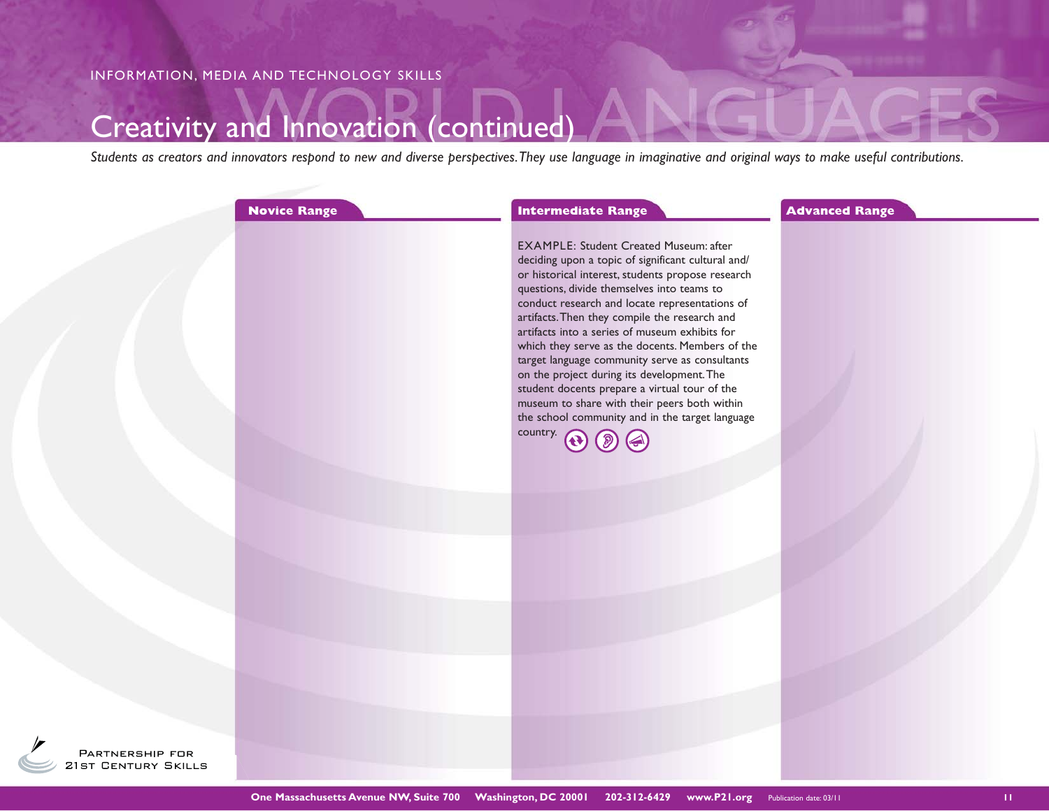## Creativity and Innovation (continued)

*Students as creators and innovators respond to new and diverse perspectives. They use language in imaginative and original ways to make useful contributions.*

|       | <b>Novice Range</b> | <b>Intermediate Range</b>                                                                                                                                                                                                                                                                                                                                                                                                                                                                                                                                                                                                                                                                | <b>Advanced Range</b> |
|-------|---------------------|------------------------------------------------------------------------------------------------------------------------------------------------------------------------------------------------------------------------------------------------------------------------------------------------------------------------------------------------------------------------------------------------------------------------------------------------------------------------------------------------------------------------------------------------------------------------------------------------------------------------------------------------------------------------------------------|-----------------------|
|       |                     | <b>EXAMPLE: Student Created Museum: after</b><br>deciding upon a topic of significant cultural and/<br>or historical interest, students propose research<br>questions, divide themselves into teams to<br>conduct research and locate representations of<br>artifacts. Then they compile the research and<br>artifacts into a series of museum exhibits for<br>which they serve as the docents. Members of the<br>target language community serve as consultants<br>on the project during its development. The<br>student docents prepare a virtual tour of the<br>museum to share with their peers both within<br>the school community and in the target language<br>country. $\bigcap$ |                       |
|       |                     |                                                                                                                                                                                                                                                                                                                                                                                                                                                                                                                                                                                                                                                                                          |                       |
|       |                     |                                                                                                                                                                                                                                                                                                                                                                                                                                                                                                                                                                                                                                                                                          |                       |
|       |                     |                                                                                                                                                                                                                                                                                                                                                                                                                                                                                                                                                                                                                                                                                          |                       |
|       |                     |                                                                                                                                                                                                                                                                                                                                                                                                                                                                                                                                                                                                                                                                                          |                       |
| P FOR |                     |                                                                                                                                                                                                                                                                                                                                                                                                                                                                                                                                                                                                                                                                                          |                       |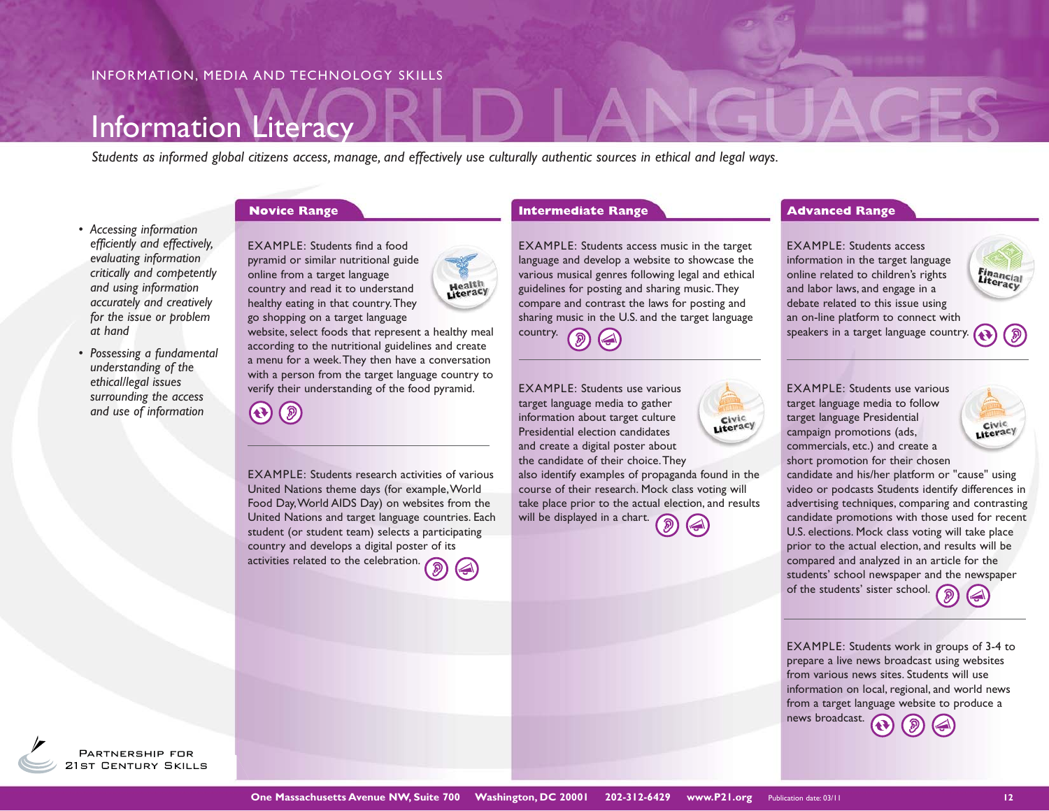## Information Literacy

*Students as informed global citizens access, manage, and effectively use culturally authentic sources in ethical and legal ways.* 

- *Accessing information efficiently and effectively, evaluating information critically and competently and using information accurately and creatively for the issue or problem at hand*
- *Possessing a fundamental understanding of the ethical/legal issues surrounding the access and use of information*



EXAMPLE: Students find a food pyramid or similar nutritional guide online from a target language country and read it to understand healthy eating in that country. They go shopping on a target language



**Health**<br>Literacy

EXAMPLE: Students research activities of various United Nations theme days (for example, World Food Day, World AIDS Day) on websites from the United Nations and target language countries. Each student (or student team) selects a participating country and develops a digital poster of its activities related to the celebration.



**Novice Range 19 Construction Construction Construction Construction Construction Construction Construction Construction Construction Construction Construction Construction Construction Construction Construction Constructi** 

EXAMPLE: Students access music in the target language and develop a website to showcase the various musical genres following legal and ethical guidelines for posting and sharing music. They compare and contrast the laws for posting and sharing music in the U.S. and the target language country.

EXAMPLE: Students use various target language media to gather information about target culture Literacy Presidential election candidates and create a digital poster about the candidate of their choice. They also identify examples of propaganda found in the course of their research. Mock class voting will take place prior to the actual election, and results will be displayed in a chart.

EXAMPLE: Students access information in the target language online related to children's rights and labor laws, and engage in a debate related to this issue using an on-line platform to connect with speakers in a target language country.

EXAMPLE: Students use various target language media to follow target language Presidential campaign promotions (ads, commercials, etc.) and create a short promotion for their chosen



**Financial**<br>Literacy

candidate and his/her platform or "cause" using video or podcasts Students identify differences in advertising techniques, comparing and contrasting candidate promotions with those used for recent U.S. elections. Mock class voting will take place prior to the actual election, and results will be compared and analyzed in an article for the students' school newspaper and the newspaper of the students' sister school.

EXAMPLE: Students work in groups of 3-4 to prepare a live news broadcast using websites from various news sites. Students will use information on local, regional, and world news from a target language website to produce a news broadcast.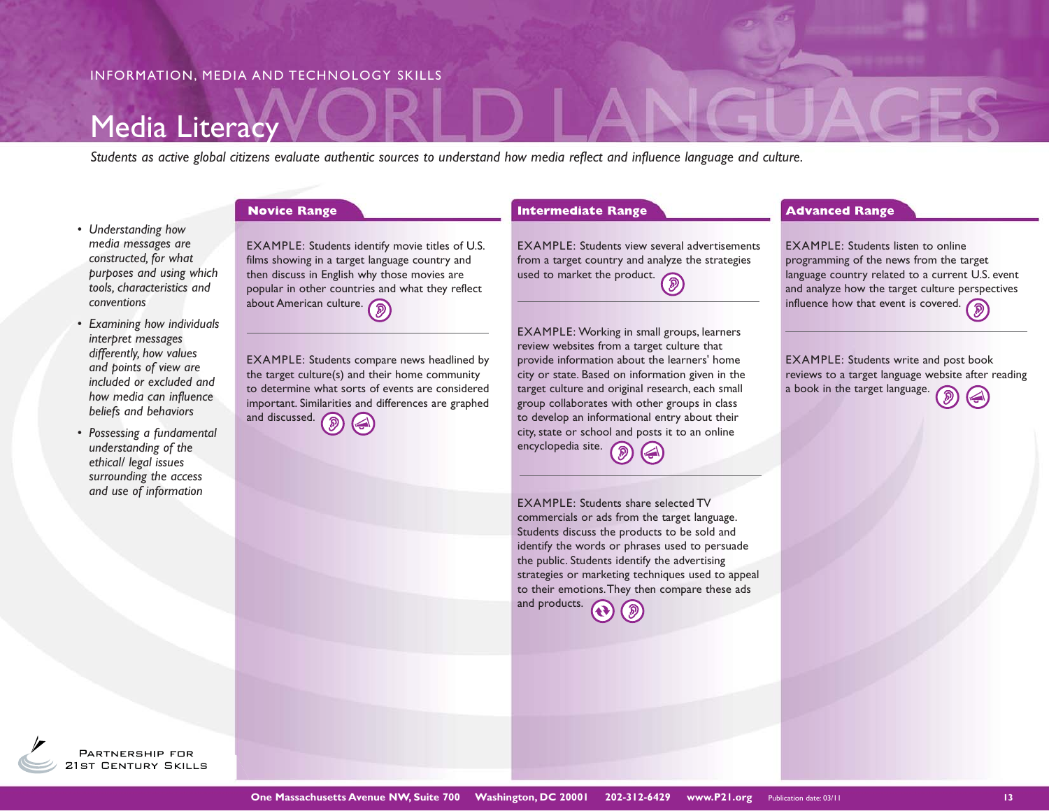## Media Literacy

*Students as active global citizens evaluate authentic sources to understand how media reflect and influence language and culture.* 

### *• Understanding how media messages are constructed, for what purposes and using which tools, characteristics and conventions*

- *Examining how individuals interpret messages differently, how values and points of view are included or excluded and how media can influence beliefs and behaviors*
- *Possessing a fundamental understanding of the ethical/ legal issues surrounding the access and use of information*

EXAMPLE: Students identify movie titles of U.S. films showing in a target language country and then discuss in English why those movies are popular in other countries and what they reflect about American culture.

EXAMPLE: Students compare news headlined by the target culture(s) and their home community to determine what sorts of events are considered important. Similarities and differences are graphed and discussed.

**Novice Range 19 Construction Construction Construction Construction Construction Construction Construction Construction Construction Construction Construction Construction Construction Construction Construction Constructi** 

EXAMPLE: Students view several advertisements from a target country and analyze the strategies from a target to  $\frac{1}{2}$ , used to market the product.

EXAMPLE: Working in small groups, learners review websites from a target culture that provide information about the learners' home city or state. Based on information given in the target culture and original research, each small group collaborates with other groups in class to develop an informational entry about their city, state or school and posts it to an online encyclopedia site.

EXAMPLE: Students share selected TV commercials or ads from the target language. Students discuss the products to be sold and identify the words or phrases used to persuade the public. Students identify the advertising strategies or marketing techniques used to appeal to their emotions. They then compare these ads and products.

EXAMPLE: Students listen to online programming of the news from the target language country related to a current U.S. event and analyze how the target culture perspectives influence how that event is covered.

EXAMPLE: Students write and post book reviews to a target language website after reading a book in the target language.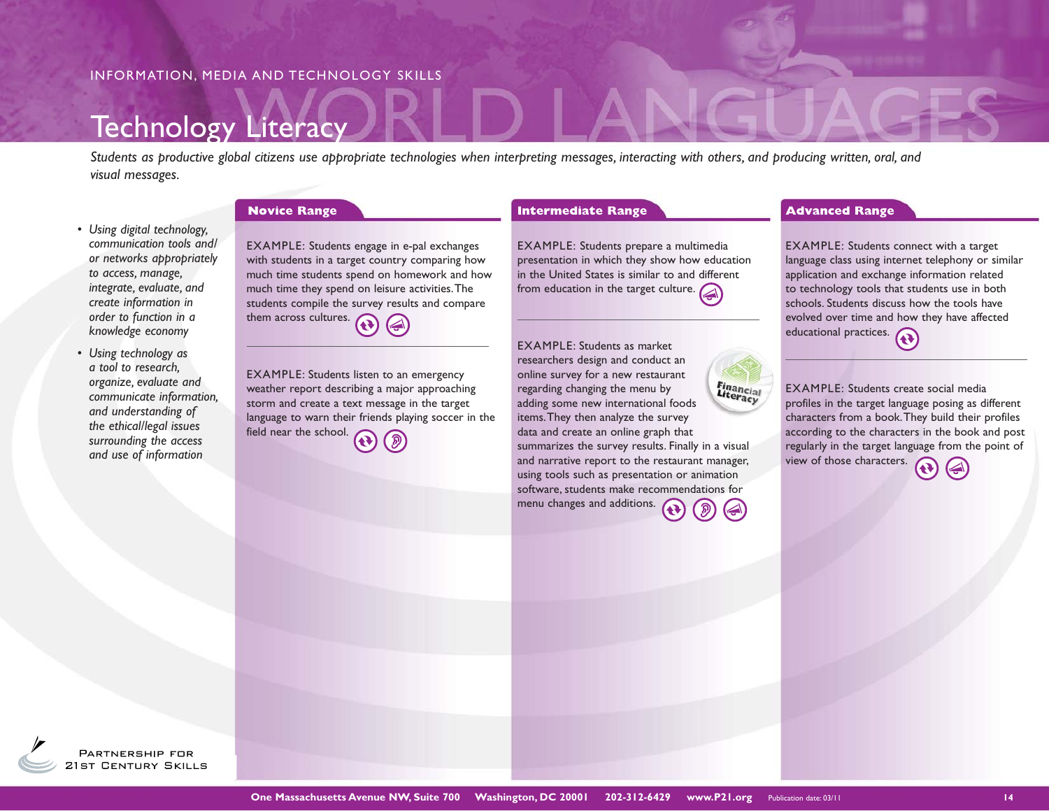## **Technology Literacy**

*Students as productive global citizens use appropriate technologies when interpreting messages, interacting with others, and producing written, oral, and visual messages.*

*• Using digital technology, communication tools and/ or networks appropriately to access, manage, integrate, evaluate, and create information in order to function in a knowledge economy*

*• Using technology as a tool to research, organize, evaluate and communicate information, and understanding of the ethical/legal issues surrounding the access and use of information*

EXAMPLE: Students engage in e-pal exchanges with students in a target country comparing how much time students spend on homework and how much time they spend on leisure activities. The students compile the survey results and compare them across cultures.

EXAMPLE: Students listen to an emergency weather report describing a major approaching storm and create a text message in the target language to warn their friends playing soccer in the field near the school.

#### **Novice Range 19 Construction Construction Construction Construction Construction Construction Construction Construction Construction Construction Construction Construction Construction Construction Construction Constructi**

EXAMPLE: Students prepare a multimedia presentation in which they show how education in the United States is similar to and different from education in the target culture.

EXAMPLE: Students as market researchers design and conduct an online survey for a new restaurant Financial<br>Literacy regarding changing the menu by adding some new international foods items. They then analyze the survey data and create an online graph that summarizes the survey results. Finally in a visual and narrative report to the restaurant manager, using tools such as presentation or animation software, students make recommendations for menu changes and additions.

EXAMPLE: Students connect with a target language class using internet telephony or similar application and exchange information related to technology tools that students use in both schools. Students discuss how the tools have evolved over time and how they have affected educational practices.

EXAMPLE: Students create social media profiles in the target language posing as different characters from a book. They build their profiles according to the characters in the book and post regularly in the target language from the point of view of those characters.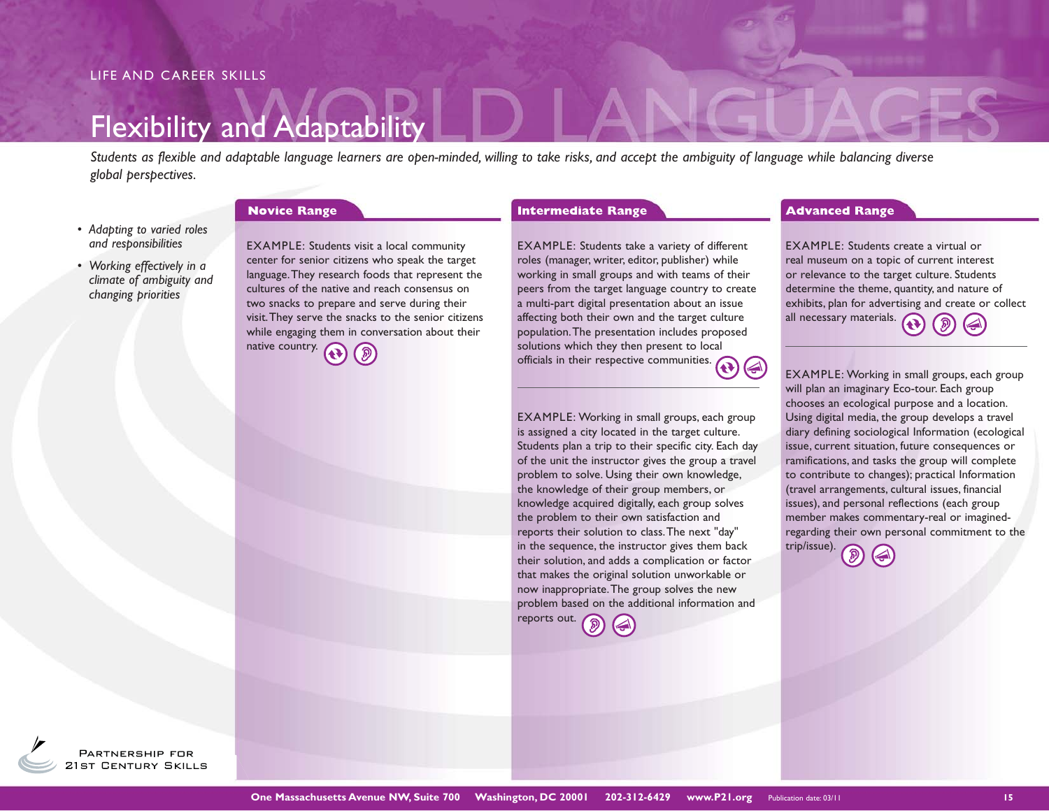## Flexibility and Adaptability

*Students as flexible and adaptable language learners are open-minded, willing to take risks, and accept the ambiguity of language while balancing diverse global perspectives.*

### *• Adapting to varied roles and responsibilities*

*• Working effectively in a climate of ambiguity and changing priorities*

EXAMPLE: Students visit a local community center for senior citizens who speak the target language. They research foods that represent the cultures of the native and reach consensus on two snacks to prepare and serve during their visit. They serve the snacks to the senior citizens while engaging them in conversation about their native country.

EXAMPLE: Students take a variety of different roles (manager, writer, editor, publisher) while working in small groups and with teams of their peers from the target language country to create a multi-part digital presentation about an issue affecting both their own and the target culture population. The presentation includes proposed solutions which they then present to local officials in their respective communities.

EXAMPLE: Working in small groups, each group is assigned a city located in the target culture. Students plan a trip to their specific city. Each day of the unit the instructor gives the group a travel problem to solve. Using their own knowledge, the knowledge of their group members, or knowledge acquired digitally, each group solves the problem to their own satisfaction and reports their solution to class. The next "day" in the sequence, the instructor gives them back their solution, and adds a complication or factor that makes the original solution unworkable or now inappropriate. The group solves the new problem based on the additional information and reports out.

#### **Novice Range 19 Construction Construction Construction Construction Construction Construction Construction Construction Construction Construction Construction Construction Construction Construction Construction Constructi**

EXAMPLE: Students create a virtual or real museum on a topic of current interest or relevance to the target culture. Students determine the theme, quantity, and nature of exhibits, plan for advertising and create or collect all necessary materials.

EXAMPLE: Working in small groups, each group will plan an imaginary Eco-tour. Each group chooses an ecological purpose and a location. Using digital media, the group develops a travel diary defining sociological Information (ecological issue, current situation, future consequences or ramifications, and tasks the group will complete to contribute to changes); practical Information (travel arrangements, cultural issues, financial issues), and personal reflections (each group member makes commentary-real or imaginedregarding their own personal commitment to the trip/issue).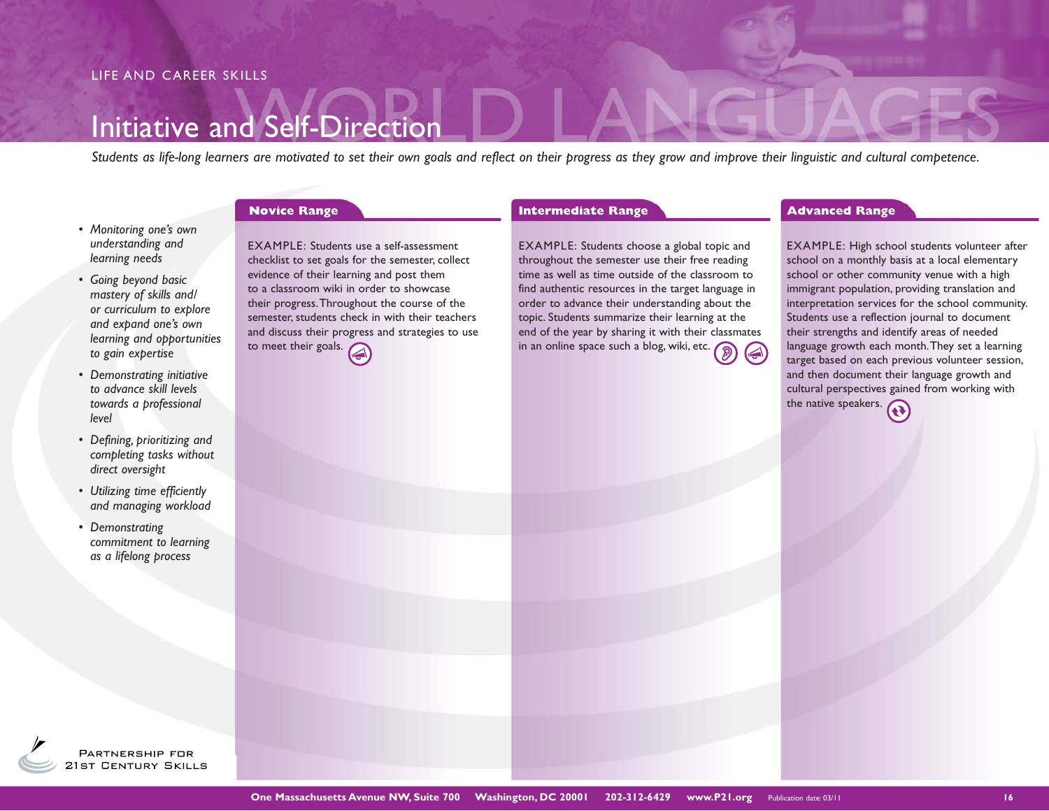## Initiative and Self-Direction

*Students as life-long learners are motivated to set their own goals and reflect on their progress as they grow and improve their linguistic and cultural competence.* 

- *Monitoring one's own understanding and learning needs*
- *Going beyond basic mastery of skills and/ or curriculum to explore and expand one's own learning and opportunities to gain expertise*
- *Demonstrating initiative to advance skill levels towards a professional level*
- *Defining, prioritizing and completing tasks without direct oversight*
- *Utilizing time efficiently and managing workload*
- *Demonstrating commitment to learning as a lifelong process*

EXAMPLE: Students use a self-assessment checklist to set goals for the semester, collect evidence of their learning and post them to a classroom wiki in order to showcase their progress. Throughout the course of the semester, students check in with their teachers and discuss their progress and strategies to use to meet their goals.

**Novice Range 19 Construction Construction Construction Construction Construction Construction Construction Construction Construction Construction Construction Construction Construction Construction Construction Constructi** 

EXAMPLE: Students choose a global topic and throughout the semester use their free reading time as well as time outside of the classroom to find authentic resources in the target language in order to advance their understanding about the topic. Students summarize their learning at the end of the year by sharing it with their classmates in an online space such a blog, wiki, etc.

EXAMPLE: High school students volunteer after school on a monthly basis at a local elementary school or other community venue with a high immigrant population, providing translation and interpretation services for the school community. Students use a reflection journal to document their strengths and identify areas of needed language growth each month. They set a learning target based on each previous volunteer session, and then document their language growth and cultural perspectives gained from working with the native speakers.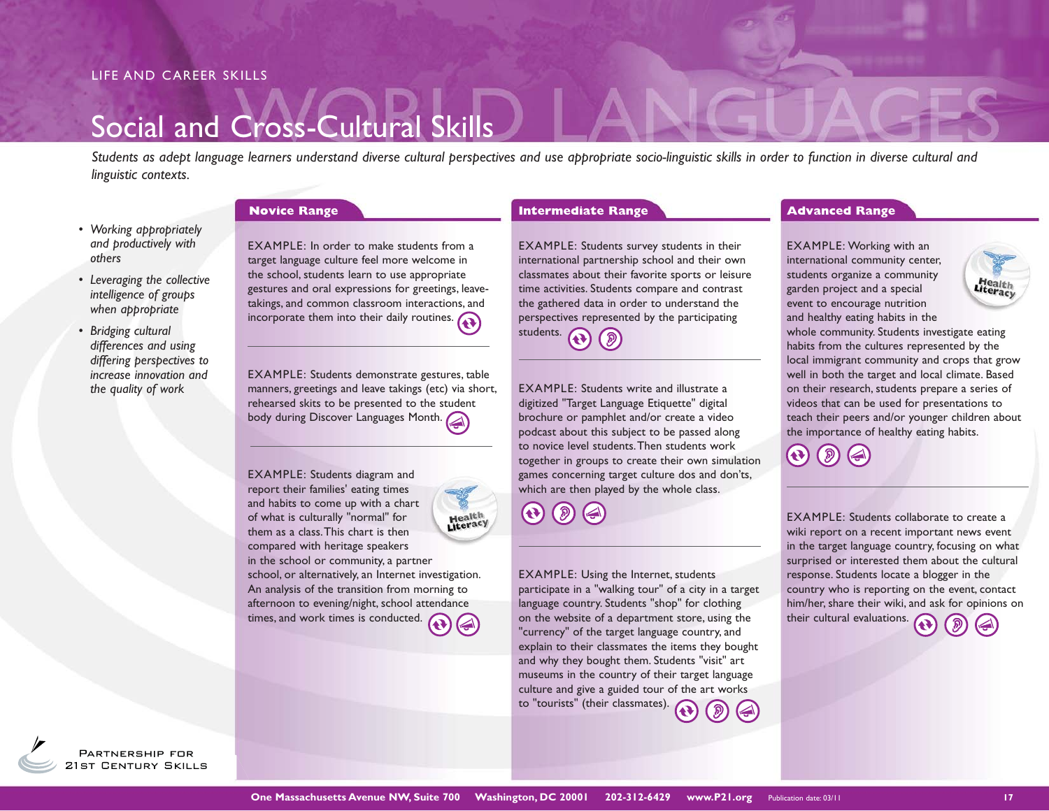#### LIFE AND CAREER SKILLS

## Social and Cross-Cultural Skills

*Students as adept language learners understand diverse cultural perspectives and use appropriate socio-linguistic skills in order to function in diverse cultural and linguistic contexts.* 

- *Working appropriately and productively with others*
- *Leveraging the collective intelligence of groups when appropriate*
- *Bridging cultural differences and using differing perspectives to increase innovation and the quality of work*

EXAMPLE: In order to make students from a target language culture feel more welcome in the school, students learn to use appropriate gestures and oral expressions for greetings, leavetakings, and common classroom interactions, and incorporate them into their daily routines.  $\bigodot$ 

EXAMPLE: Students demonstrate gestures, table manners, greetings and leave takings (etc) via short, rehearsed skits to be presented to the student **body during Discover Languages Month.** 

EXAMPLE: Students diagram and report their families' eating times and habits to come up with a chart Health<br>Literacy of what is culturally "normal" for them as a class. This chart is then compared with heritage speakers in the school or community, a partner school, or alternatively, an Internet investigation. An analysis of the transition from morning to afternoon to evening/night, school attendance times, and work times is conducted.

**Novice Range 19 Construction Construction Construction Construction Construction Construction Construction Construction Construction Construction Construction Construction Construction Construction Construction Constructi** 

EXAMPLE: Students survey students in their international partnership school and their own classmates about their favorite sports or leisure time activities. Students compare and contrast the gathered data in order to understand the perspectives represented by the participating students.

EXAMPLE: Students write and illustrate a digitized "Target Language Etiquette" digital brochure or pamphlet and/or create a video podcast about this subject to be passed along to novice level students. Then students work together in groups to create their own simulation games concerning target culture dos and don'ts, which are then played by the whole class.

 $\bigcirc$ ( இ

EXAMPLE: Using the Internet, students participate in a "walking tour" of a city in a target language country. Students "shop" for clothing on the website of a department store, using the "currency" of the target language country, and explain to their classmates the items they bought and why they bought them. Students "visit" art museums in the country of their target language culture and give a guided tour of the art works to "tourists" (their classmates).

EXAMPLE: Working with an international community center, students organize a community garden project and a special event to encourage nutrition and healthy eating habits in the

**Health**<br>Literacy

whole community. Students investigate eating habits from the cultures represented by the local immigrant community and crops that grow well in both the target and local climate. Based on their research, students prepare a series of videos that can be used for presentations to teach their peers and/or younger children about the importance of healthy eating habits.

EXAMPLE: Students collaborate to create a wiki report on a recent important news event in the target language country, focusing on what surprised or interested them about the cultural response. Students locate a blogger in the country who is reporting on the event, contact him/her, share their wiki, and ask for opinions on their cultural evaluations.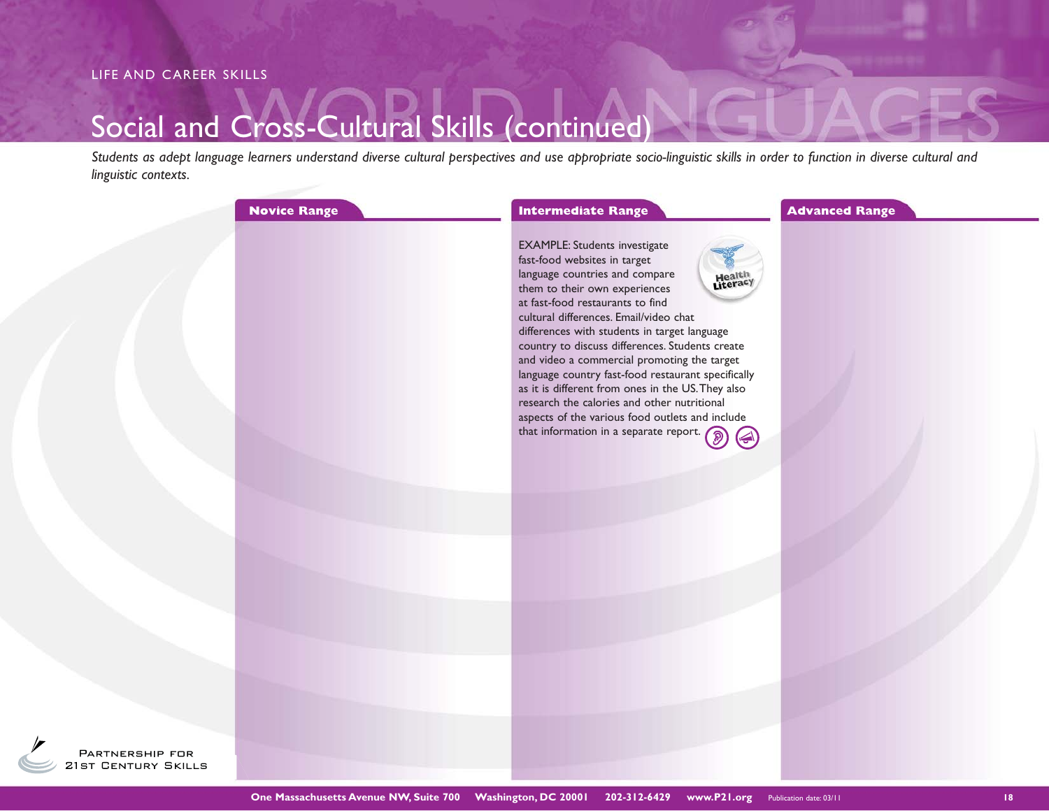## Social and Cross-Cultural Skills (continued)

*Students as adept language learners understand diverse cultural perspectives and use appropriate socio-linguistic skills in order to function in diverse cultural and linguistic contexts.* 

| <b>Novice Range</b> | <b>Intermediate Range</b>                                                                                                                                                                                                                                                                                                                                                                                                                                                                                                                                                                                                                            | <b>Advanced Range</b> |
|---------------------|------------------------------------------------------------------------------------------------------------------------------------------------------------------------------------------------------------------------------------------------------------------------------------------------------------------------------------------------------------------------------------------------------------------------------------------------------------------------------------------------------------------------------------------------------------------------------------------------------------------------------------------------------|-----------------------|
|                     | <b>EXAMPLE: Students investigate</b><br>fast-food websites in target<br>language countries and compare<br>Health<br>Literacy<br>them to their own experiences<br>at fast-food restaurants to find<br>cultural differences. Email/video chat<br>differences with students in target language<br>country to discuss differences. Students create<br>and video a commercial promoting the target<br>language country fast-food restaurant specifically<br>as it is different from ones in the US. They also<br>research the calories and other nutritional<br>aspects of the various food outlets and include<br>that information in a separate report. |                       |
|                     |                                                                                                                                                                                                                                                                                                                                                                                                                                                                                                                                                                                                                                                      |                       |
|                     |                                                                                                                                                                                                                                                                                                                                                                                                                                                                                                                                                                                                                                                      |                       |
|                     |                                                                                                                                                                                                                                                                                                                                                                                                                                                                                                                                                                                                                                                      |                       |
|                     |                                                                                                                                                                                                                                                                                                                                                                                                                                                                                                                                                                                                                                                      |                       |
|                     |                                                                                                                                                                                                                                                                                                                                                                                                                                                                                                                                                                                                                                                      |                       |
|                     |                                                                                                                                                                                                                                                                                                                                                                                                                                                                                                                                                                                                                                                      |                       |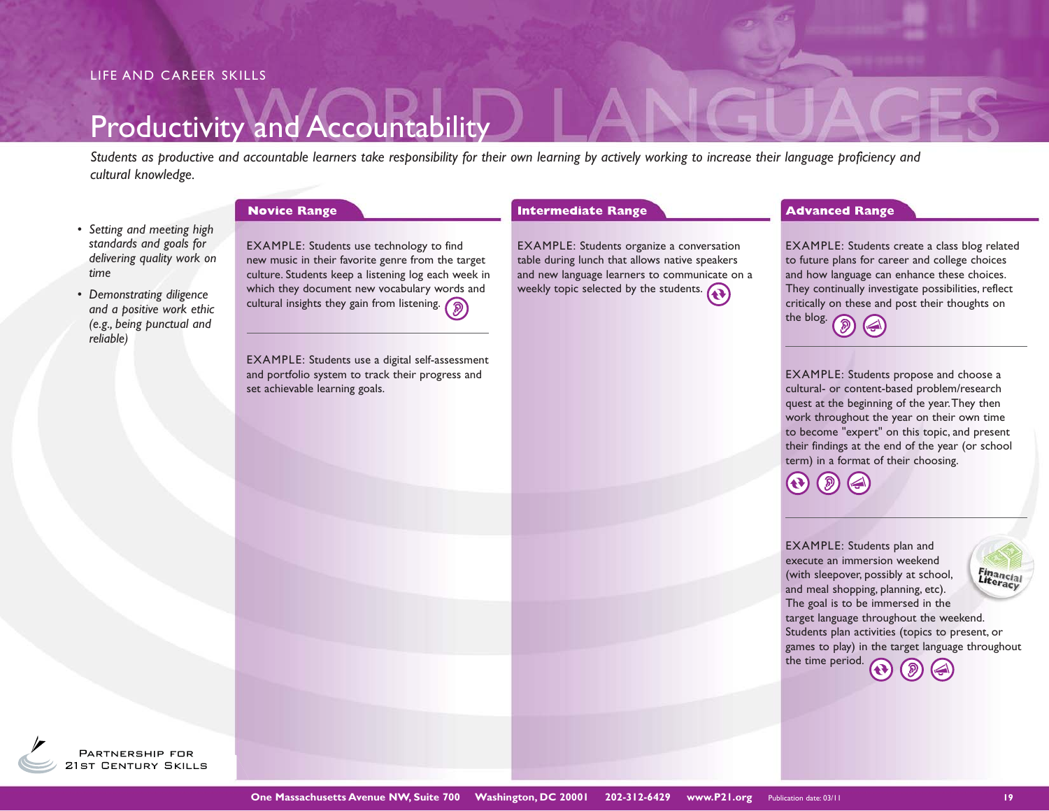# Productivity and Accountability

*Students as productive and accountable learners take responsibility for their own learning by actively working to increase their language proficiency and cultural knowledge.* 

- *Setting and meeting high standards and goals for delivering quality work on time*
- *Demonstrating diligence and a positive work ethic (e.g., being punctual and reliable)*

EXAMPLE: Students use technology to find new music in their favorite genre from the target culture. Students keep a listening log each week in which they document new vocabulary words and cultural insights they gain from listening.  $\circled{)}$ 

EXAMPLE: Students use a digital self-assessment and portfolio system to track their progress and set achievable learning goals.

EXAMPLE: Students organize a conversation table during lunch that allows native speakers and new language learners to communicate on a weekly topic selected by the students.

#### **Novice Range 19 Construction Construction Construction Construction Construction Construction Construction Construction Construction Construction Construction Construction Construction Construction Construction Constructi**

EXAMPLE: Students create a class blog related to future plans for career and college choices and how language can enhance these choices. They continually investigate possibilities, reflect critically on these and post their thoughts on the blog.

EXAMPLE: Students propose and choose a cultural- or content-based problem/research quest at the beginning of the year. They then work throughout the year on their own time to become "expert" on this topic, and present their findings at the end of the year (or school term) in a format of their choosing.

 $\blacktriangleleft$ 

EXAMPLE: Students plan and execute an immersion weekend (with sleepover, possibly at school, and meal shopping, planning, etc). The goal is to be immersed in the target language throughout the weekend. Students plan activities (topics to present, or games to play) in the target language throughout the time period.

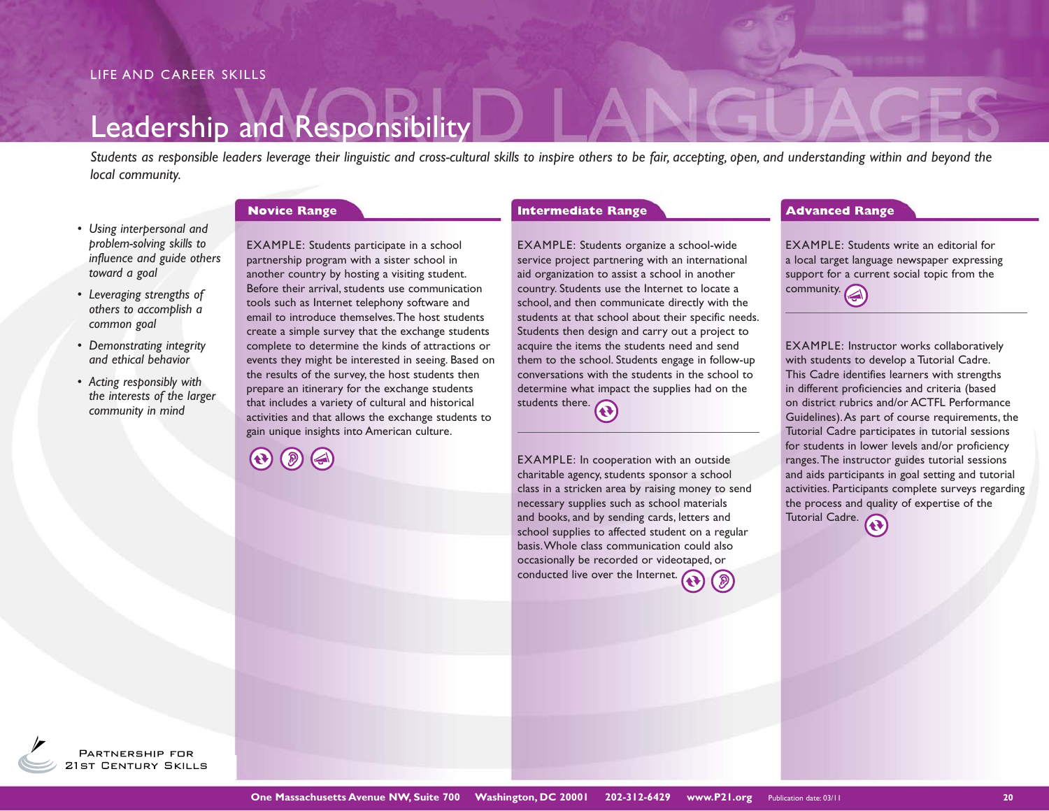# Leadership and Responsibility

*Students as responsible leaders leverage their linguistic and cross-cultural skills to inspire others to be fair, accepting, open, and understanding within and beyond the local community.*

- *Using interpersonal and problem-solving skills to influence and guide others toward a goal*
- *Leveraging strengths of others to accomplish a common goal*
- *Demonstrating integrity and ethical behavior*
- *Acting responsibly with the interests of the larger community in mind*

EXAMPLE: Students participate in a school partnership program with a sister school in another country by hosting a visiting student. Before their arrival, students use communication tools such as Internet telephony software and email to introduce themselves. The host students create a simple survey that the exchange students complete to determine the kinds of attractions or events they might be interested in seeing. Based on the results of the survey, the host students then prepare an itinerary for the exchange students that includes a variety of cultural and historical activities and that allows the exchange students to gain unique insights into American culture.

EXAMPLE: Students organize a school-wide service project partnering with an international aid organization to assist a school in another country. Students use the Internet to locate a school, and then communicate directly with the students at that school about their specific needs. Students then design and carry out a project to acquire the items the students need and send them to the school. Students engage in follow-up conversations with the students in the school to determine what impact the supplies had on the students there.

EXAMPLE: In cooperation with an outside charitable agency, students sponsor a school class in a stricken area by raising money to send necessary supplies such as school materials and books, and by sending cards, letters and school supplies to affected student on a regular basis. Whole class communication could also occasionally be recorded or videotaped, or conducted live over the Internet.

### **Novice Range <b>Advanced Range Advanced Range Advanced Range Advanced Range Advanced Range**

EXAMPLE: Students write an editorial for a local target language newspaper expressing support for a current social topic from the  $\overline{\mathbf{c}}$  community.

EXAMPLE: Instructor works collaboratively with students to develop a Tutorial Cadre. This Cadre identifies learners with strengths in different proficiencies and criteria (based on district rubrics and/or ACTFL Performance Guidelines). As part of course requirements, the Tutorial Cadre participates in tutorial sessions for students in lower levels and/or proficiency ranges. The instructor guides tutorial sessions and aids participants in goal setting and tutorial activities. Participants complete surveys regarding the process and quality of expertise of the Tutorial Cadre.